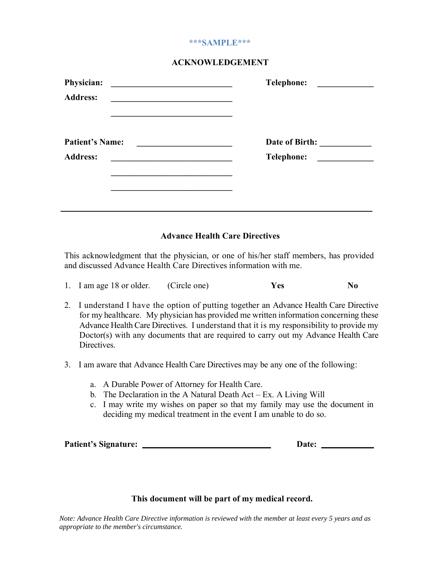#### **\*\*\*SAMPLE\*\*\***

#### **ACKNOWLEDGEMENT**

| Physician:<br><b>Address:</b> | <b>Telephone:</b> |
|-------------------------------|-------------------|
| <b>Patient's Name:</b>        | Date of Birth:    |
| <b>Address:</b>               | <b>Telephone:</b> |

### **Advance Health Care Directives**

This acknowledgment that the physician, or one of his/her staff members, has provided and discussed Advance Health Care Directives information with me.

- 1. I am age 18 or older. (Circle one) **Yes** No
- 2. I understand I have the option of putting together an Advance Health Care Directive for my healthcare. My physician has provided me written information concerning these Advance Health Care Directives. I understand that it is my responsibility to provide my Doctor(s) with any documents that are required to carry out my Advance Health Care Directives.
- 3. I am aware that Advance Health Care Directives may be any one of the following:
	- a. A Durable Power of Attorney for Health Care.
	- b. The Declaration in the A Natural Death Act Ex. A Living Will
	- c. I may write my wishes on paper so that my family may use the document in deciding my medical treatment in the event I am unable to do so.

**Patient's Signature: Date:** 

### **This document will be part of my medical record.**

*Note: Advance Health Care Directive information is reviewed with the member at least every 5 years and as appropriate to the member's circumstance.*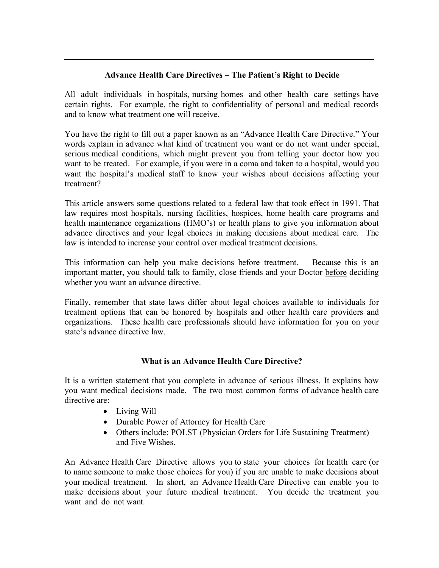# **Advance Health Care Directives – The Patient's Right to Decide**

All adult individuals in hospitals, nursing homes and other health care settings have certain rights. For example, the right to confidentiality of personal and medical records and to know what treatment one will receive.

You have the right to fill out a paper known as an "Advance Health Care Directive." Your words explain in advance what kind of treatment you want or do not want under special, serious medical conditions, which might prevent you from telling your doctor how you want to be treated. For example, if you were in a coma and taken to a hospital, would you want the hospital's medical staff to know your wishes about decisions affecting your treatment?

This article answers some questions related to a federal law that took effect in 1991. That law requires most hospitals, nursing facilities, hospices, home health care programs and health maintenance organizations (HMO's) or health plans to give you information about advance directives and your legal choices in making decisions about medical care. The law is intended to increase your control over medical treatment decisions.

This information can help you make decisions before treatment. Because this is an important matter, you should talk to family, close friends and your Doctor before deciding whether you want an advance directive.

Finally, remember that state laws differ about legal choices available to individuals for treatment options that can be honored by hospitals and other health care providers and organizations. These health care professionals should have information for you on your state's advance directive law.

## **What is an Advance Health Care Directive?**

It is a written statement that you complete in advance of serious illness. It explains how you want medical decisions made. The two most common forms of advance health care directive are:

- Living Will
- Durable Power of Attorney for Health Care
- Others include: POLST (Physician Orders for Life Sustaining Treatment) and Five Wishes.

An Advance Health Care Directive allows you to state your choices for health care (or to name someone to make those choices for you) if you are unable to make decisions about your medical treatment. In short, an Advance Health Care Directive can enable you to make decisions about your future medical treatment. You decide the treatment you want and do not want.